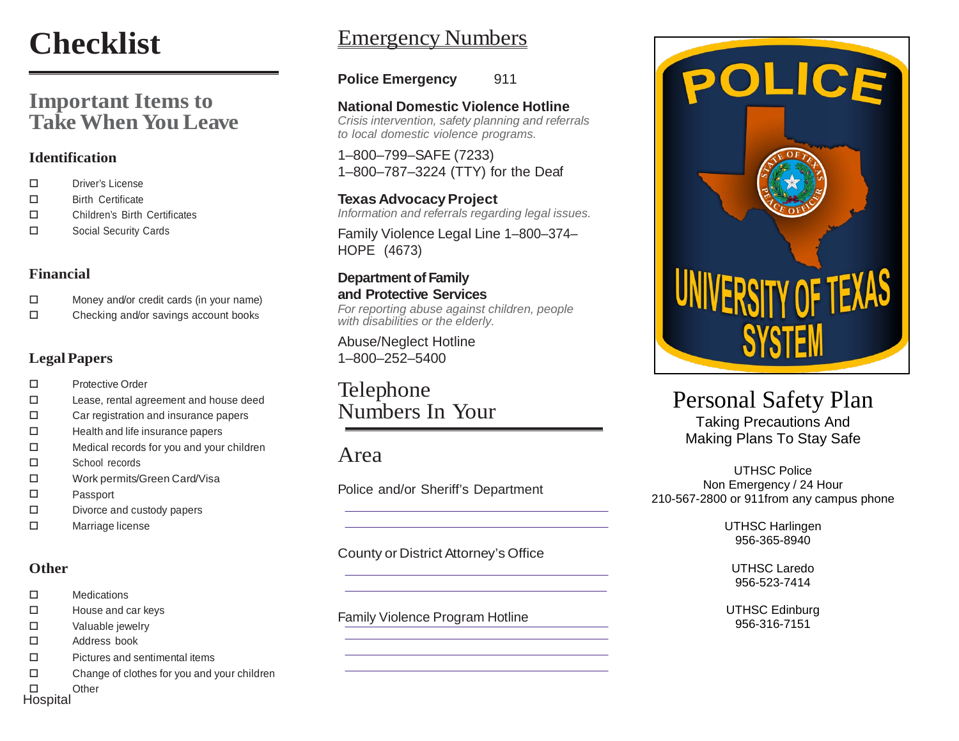# **Checklist**

# **Important Items to TakeWhen YouLeave**

#### **Identification**

- □ Driver's License
- □ Birth Certificate
- Children's Birth Certificates
- □ Social Security Cards

#### **Financial**

- Money and/or credit cards (in your name)
- $\square$  Checking and/or savings account books

#### **LegalPapers**

- □ Protective Order
- Lease, rental agreement and house deed
- □ Car registration and insurance papers
- $\Box$  Health and life insurance papers
- Medical records for you and your children
- School records
- Work permits/Green Card/Visa
- Passport
- $\square$  Divorce and custody papers
- □ Marriage license

#### **Other**

- Medications
- $\Box$  House and car keys
- □ Valuable jewelry
- Address book
- Pictures and sentimental items
- $\square$  Change of clothes for you and your children

□ Other **Hospital P.O. BOX 161810**

# Emergency Numbers

**Police Emergency** 911

**National Domestic Violence Hotline** *Crisis intervention, safety planning and referrals to local domestic violence programs.*

1–800–799–SAFE (7233) 1–800–787–3224 (TTY) for the Deaf

**Texas Advocacy Project** *Information and referrals regarding legal issues.*

Family Violence Legal Line 1–800–374– HOPE (4673)

#### **Department of Family and Protective Services**

*For reporting abuse against children, people with disabilities or the elderly.*

Abuse/Neglect Hotline 1–800–252–5400

Telephone Numbers In Your

# Area

Police and/or Sheriff's Department

County or District Attorney's Office

#### Family Violence Program Hotline



# Personal Safety Plan

Taking Precautions And Making Plans To Stay Safe

UTHSC Police Non Emergency / 24 Hour 210-567-2800 or 911from any campus phone

> UTHSC Harlingen 956-365-8940

UTHSC Laredo 956-523-7414

UTHSC Edinburg 956-316-7151